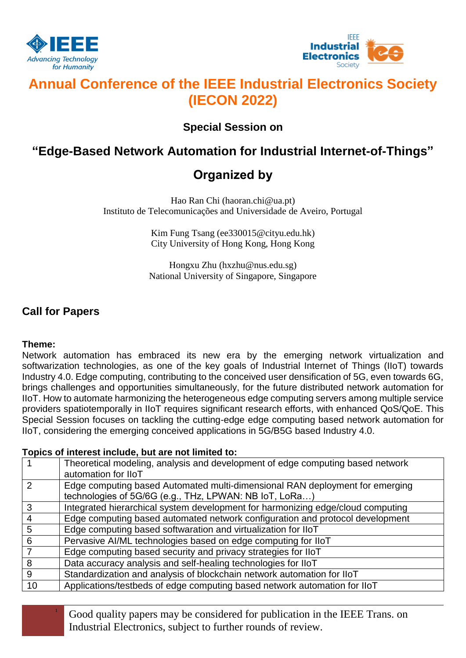



# **Annual Conference of the IEEE Industrial Electronics Society (IECON 2022)**

### **Special Session on**

## **"Edge-Based Network Automation for Industrial Internet-of-Things"**

## **Organized by**

Hao Ran Chi (haoran.chi@ua.pt) Instituto de Telecomunicações and Universidade de Aveiro, Portugal

> Kim Fung Tsang (ee330015@cityu.edu.hk) City University of Hong Kong, Hong Kong

Hongxu Zhu (hxzhu@nus.edu.sg) National University of Singapore, Singapore

### **Call for Papers**

### **Theme:**

Network automation has embraced its new era by the emerging network virtualization and softwarization technologies, as one of the key goals of Industrial Internet of Things (IIoT) towards Industry 4.0. Edge computing, contributing to the conceived user densification of 5G, even towards 6G, brings challenges and opportunities simultaneously, for the future distributed network automation for IIoT. How to automate harmonizing the heterogeneous edge computing servers among multiple service providers spatiotemporally in IIoT requires significant research efforts, with enhanced QoS/QoE. This Special Session focuses on tackling the cutting-edge edge computing based network automation for IIoT, considering the emerging conceived applications in 5G/B5G based Industry 4.0.

### **Topics of interest include, but are not limited to:**

|               | Theoretical modeling, analysis and development of edge computing based network<br>automation for IIoT                                  |
|---------------|----------------------------------------------------------------------------------------------------------------------------------------|
| $\mathcal{P}$ | Edge computing based Automated multi-dimensional RAN deployment for emerging<br>technologies of 5G/6G (e.g., THz, LPWAN: NB IoT, LoRa) |
| 3             | Integrated hierarchical system development for harmonizing edge/cloud computing                                                        |
| 4             | Edge computing based automated network configuration and protocol development                                                          |
| 5             | Edge computing based softwaration and virtualization for IIoT                                                                          |
| 6             | Pervasive AI/ML technologies based on edge computing for IIoT                                                                          |
|               | Edge computing based security and privacy strategies for IIoT                                                                          |
| 8             | Data accuracy analysis and self-healing technologies for IIoT                                                                          |
| 9             | Standardization and analysis of blockchain network automation for IIoT                                                                 |
| 10            | Applications/testbeds of edge computing based network automation for IIoT                                                              |

<sup>1</sup> Good quality papers may be considered for publication in the IEEE Trans. on Industrial Electronics, subject to further rounds of review.